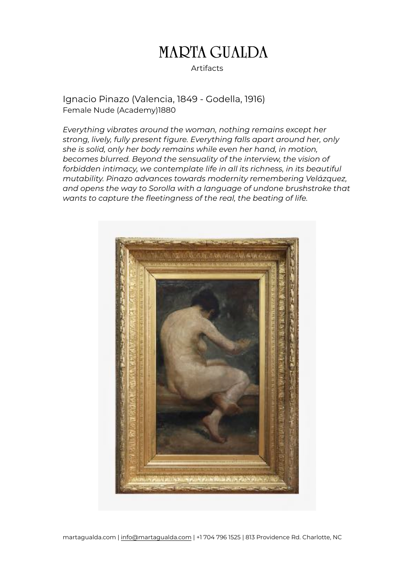### Artifacts

Ignacio Pinazo (Valencia, 1849 - Godella, 1916) Female Nude (Academy)1880

*Everything vibrates around the woman, nothing remains except her strong, lively, fully present figure. Everything falls apart around her, only she is solid, only her body remains while even her hand, in motion, becomes blurred. Beyond the sensuality of the interview, the vision of forbidden intimacy, we contemplate life in all its richness, in its beautiful mutability. Pinazo advances towards modernity remembering Velázquez, and opens the way to Sorolla with a language of undone brushstroke that wants to capture the fleetingness of the real, the beating of life.*



martagualda.com | [info@martagualda.com](mailto:info@martagualda.com) | +1 704 796 1525 | 813 Providence Rd. Charlotte, NC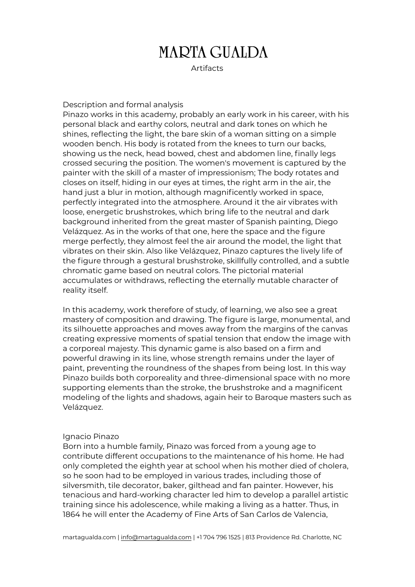**Artifacts** 

#### Description and formal analysis

Pinazo works in this academy, probably an early work in his career, with his personal black and earthy colors, neutral and dark tones on which he shines, reflecting the light, the bare skin of a woman sitting on a simple wooden bench. His body is rotated from the knees to turn our backs, showing us the neck, head bowed, chest and abdomen line, finally legs crossed securing the position. The women's movement is captured by the painter with the skill of a master of impressionism; The body rotates and closes on itself, hiding in our eyes at times, the right arm in the air, the hand just a blur in motion, although magnificently worked in space, perfectly integrated into the atmosphere. Around it the air vibrates with loose, energetic brushstrokes, which bring life to the neutral and dark background inherited from the great master of Spanish painting, Diego Velázquez. As in the works of that one, here the space and the figure merge perfectly, they almost feel the air around the model, the light that vibrates on their skin. Also like Velázquez, Pinazo captures the lively life of the figure through a gestural brushstroke, skillfully controlled, and a subtle chromatic game based on neutral colors. The pictorial material accumulates or withdraws, reflecting the eternally mutable character of reality itself.

In this academy, work therefore of study, of learning, we also see a great mastery of composition and drawing. The figure is large, monumental, and its silhouette approaches and moves away from the margins of the canvas creating expressive moments of spatial tension that endow the image with a corporeal majesty. This dynamic game is also based on a firm and powerful drawing in its line, whose strength remains under the layer of paint, preventing the roundness of the shapes from being lost. In this way Pinazo builds both corporeality and three-dimensional space with no more supporting elements than the stroke, the brushstroke and a magnificent modeling of the lights and shadows, again heir to Baroque masters such as Velázquez.

#### Ignacio Pinazo

Born into a humble family, Pinazo was forced from a young age to contribute different occupations to the maintenance of his home. He had only completed the eighth year at school when his mother died of cholera, so he soon had to be employed in various trades, including those of silversmith, tile decorator, baker, gilthead and fan painter. However, his tenacious and hard-working character led him to develop a parallel artistic training since his adolescence, while making a living as a hatter. Thus, in 1864 he will enter the Academy of Fine Arts of San Carlos de Valencia,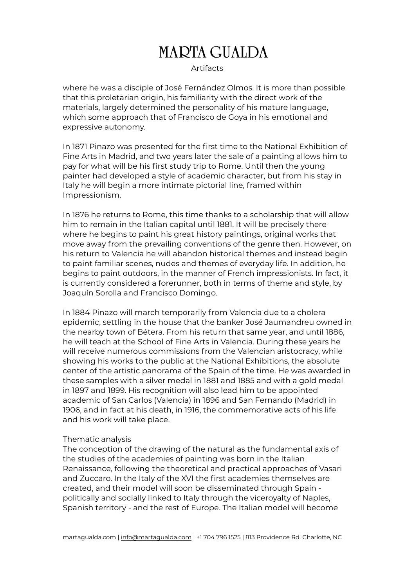### **Artifacts**

where he was a disciple of José Fernández Olmos. It is more than possible that this proletarian origin, his familiarity with the direct work of the materials, largely determined the personality of his mature language, which some approach that of Francisco de Goya in his emotional and expressive autonomy.

In 1871 Pinazo was presented for the first time to the National Exhibition of Fine Arts in Madrid, and two years later the sale of a painting allows him to pay for what will be his first study trip to Rome. Until then the young painter had developed a style of academic character, but from his stay in Italy he will begin a more intimate pictorial line, framed within Impressionism.

In 1876 he returns to Rome, this time thanks to a scholarship that will allow him to remain in the Italian capital until 1881. It will be precisely there where he begins to paint his great history paintings, original works that move away from the prevailing conventions of the genre then. However, on his return to Valencia he will abandon historical themes and instead begin to paint familiar scenes, nudes and themes of everyday life. In addition, he begins to paint outdoors, in the manner of French impressionists. In fact, it is currently considered a forerunner, both in terms of theme and style, by Joaquín Sorolla and Francisco Domingo.

In 1884 Pinazo will march temporarily from Valencia due to a cholera epidemic, settling in the house that the banker José Jaumandreu owned in the nearby town of Bétera. From his return that same year, and until 1886, he will teach at the School of Fine Arts in Valencia. During these years he will receive numerous commissions from the Valencian aristocracy, while showing his works to the public at the National Exhibitions, the absolute center of the artistic panorama of the Spain of the time. He was awarded in these samples with a silver medal in 1881 and 1885 and with a gold medal in 1897 and 1899. His recognition will also lead him to be appointed academic of San Carlos (Valencia) in 1896 and San Fernando (Madrid) in 1906, and in fact at his death, in 1916, the commemorative acts of his life and his work will take place.

#### Thematic analysis

The conception of the drawing of the natural as the fundamental axis of the studies of the academies of painting was born in the Italian Renaissance, following the theoretical and practical approaches of Vasari and Zuccaro. In the Italy of the XVI the first academies themselves are created, and their model will soon be disseminated through Spain politically and socially linked to Italy through the viceroyalty of Naples, Spanish territory - and the rest of Europe. The Italian model will become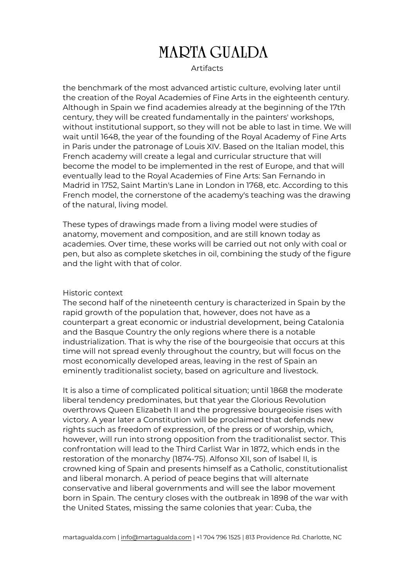#### **Artifacts**

the benchmark of the most advanced artistic culture, evolving later until the creation of the Royal Academies of Fine Arts in the eighteenth century. Although in Spain we find academies already at the beginning of the 17th century, they will be created fundamentally in the painters' workshops, without institutional support, so they will not be able to last in time. We will wait until 1648, the year of the founding of the Royal Academy of Fine Arts in Paris under the patronage of Louis XIV. Based on the Italian model, this French academy will create a legal and curricular structure that will become the model to be implemented in the rest of Europe, and that will eventually lead to the Royal Academies of Fine Arts: San Fernando in Madrid in 1752, Saint Martin's Lane in London in 1768, etc. According to this French model, the cornerstone of the academy's teaching was the drawing of the natural, living model.

These types of drawings made from a living model were studies of anatomy, movement and composition, and are still known today as academies. Over time, these works will be carried out not only with coal or pen, but also as complete sketches in oil, combining the study of the figure and the light with that of color.

#### Historic context

The second half of the nineteenth century is characterized in Spain by the rapid growth of the population that, however, does not have as a counterpart a great economic or industrial development, being Catalonia and the Basque Country the only regions where there is a notable industrialization. That is why the rise of the bourgeoisie that occurs at this time will not spread evenly throughout the country, but will focus on the most economically developed areas, leaving in the rest of Spain an eminently traditionalist society, based on agriculture and livestock.

It is also a time of complicated political situation; until 1868 the moderate liberal tendency predominates, but that year the Glorious Revolution overthrows Queen Elizabeth II and the progressive bourgeoisie rises with victory. A year later a Constitution will be proclaimed that defends new rights such as freedom of expression, of the press or of worship, which, however, will run into strong opposition from the traditionalist sector. This confrontation will lead to the Third Carlist War in 1872, which ends in the restoration of the monarchy (1874-75). Alfonso XII, son of Isabel II, is crowned king of Spain and presents himself as a Catholic, constitutionalist and liberal monarch. A period of peace begins that will alternate conservative and liberal governments and will see the labor movement born in Spain. The century closes with the outbreak in 1898 of the war with the United States, missing the same colonies that year: Cuba, the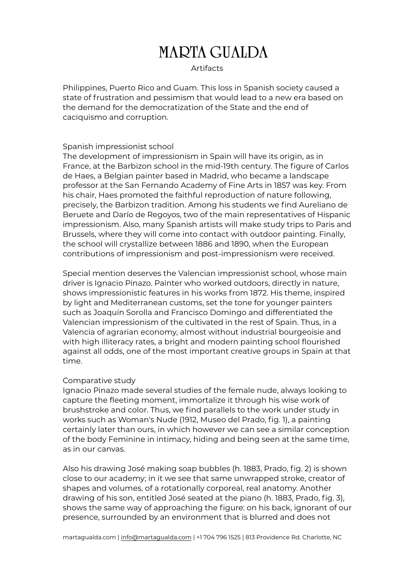### **Artifacts**

Philippines, Puerto Rico and Guam. This loss in Spanish society caused a state of frustration and pessimism that would lead to a new era based on the demand for the democratization of the State and the end of caciquismo and corruption.

#### Spanish impressionist school

The development of impressionism in Spain will have its origin, as in France, at the Barbizon school in the mid-19th century. The figure of Carlos de Haes, a Belgian painter based in Madrid, who became a landscape professor at the San Fernando Academy of Fine Arts in 1857 was key. From his chair, Haes promoted the faithful reproduction of nature following, precisely, the Barbizon tradition. Among his students we find Aureliano de Beruete and Darío de Regoyos, two of the main representatives of Hispanic impressionism. Also, many Spanish artists will make study trips to Paris and Brussels, where they will come into contact with outdoor painting. Finally, the school will crystallize between 1886 and 1890, when the European contributions of impressionism and post-impressionism were received.

Special mention deserves the Valencian impressionist school, whose main driver is Ignacio Pinazo. Painter who worked outdoors, directly in nature, shows impressionistic features in his works from 1872. His theme, inspired by light and Mediterranean customs, set the tone for younger painters such as Joaquín Sorolla and Francisco Domingo and differentiated the Valencian impressionism of the cultivated in the rest of Spain. Thus, in a Valencia of agrarian economy, almost without industrial bourgeoisie and with high illiteracy rates, a bright and modern painting school flourished against all odds, one of the most important creative groups in Spain at that time.

#### Comparative study

Ignacio Pinazo made several studies of the female nude, always looking to capture the fleeting moment, immortalize it through his wise work of brushstroke and color. Thus, we find parallels to the work under study in works such as Woman's Nude (1912, Museo del Prado, fig. 1), a painting certainly later than ours, in which however we can see a similar conception of the body Feminine in intimacy, hiding and being seen at the same time, as in our canvas.

Also his drawing José making soap bubbles (h. 1883, Prado, fig. 2) is shown close to our academy; in it we see that same unwrapped stroke, creator of shapes and volumes, of a rotationally corporeal, real anatomy. Another drawing of his son, entitled José seated at the piano (h. 1883, Prado, fig. 3), shows the same way of approaching the figure: on his back, ignorant of our presence, surrounded by an environment that is blurred and does not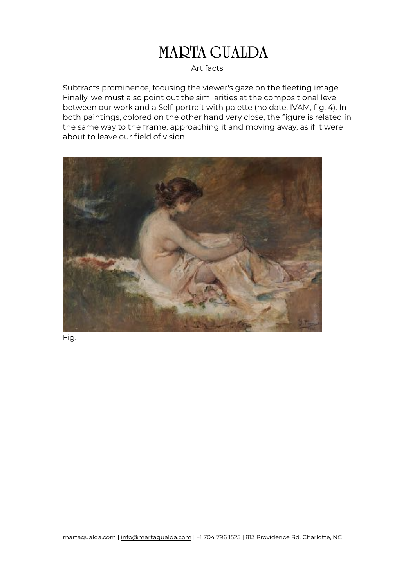### Artifacts

Subtracts prominence, focusing the viewer's gaze on the fleeting image. Finally, we must also point out the similarities at the compositional level between our work and a Self-portrait with palette (no date, IVAM, fig. 4). In both paintings, colored on the other hand very close, the figure is related in the same way to the frame, approaching it and moving away, as if it were about to leave our field of vision.



Fig.1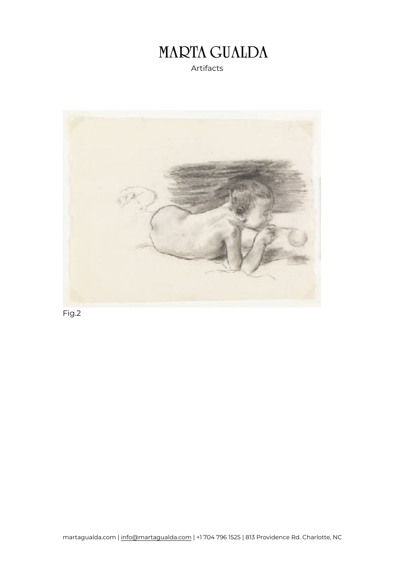



Fig.2

martagualda.com | [info@martagualda.com](mailto:info@martagualda.com) | +1 704 796 1525 | 813 Providence Rd. Charlotte, NC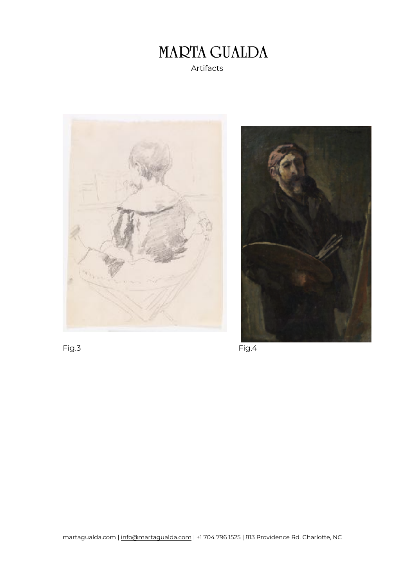### **MARTA GUALDA**  Artifacts